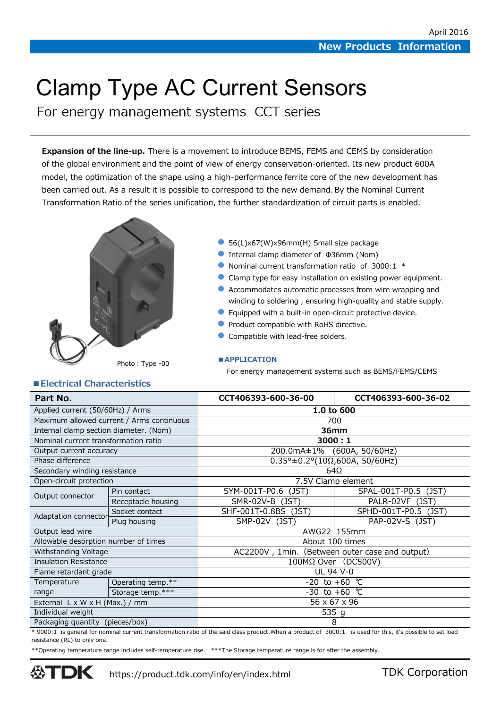# Clamp Type AC Current Sensors

For energy management systems CCT series

**Expansion of the line-up.** There is a movement to introduce BEMS, FEMS and CEMS by consideration of the global environment and the point of view of energy conservation-oriented. Its new product 600A model, the optimization of the shape using a high-performance ferrite core of the new development has been carried out. As a result it is possible to correspond to the new demand. By the Nominal Current Transformation Ratio of the series unification, the further standardization of circuit parts is enabled.



- 56(L)x67(W)x96mm(H) Small size package
- Internal clamp diameter of Φ36mm (Nom)
- Nominal current transformation ratio of 3000:1 \*
- Clamp type for easy installation on existing power equipment.
- Accommodates automatic processes from wire wrapping and winding to soldering , ensuring high-quality and stable supply.
- Equipped with a built-in open-circuit protective device.
- Product compatible with RoHS directive.
- Compatible with lead-free solders.

### **■APPLICATION**

For energy management systems such as BEMS/FEMS/CEMS

## **■Electrical Characteristics**

| Part No.                                   |                    | CCT406393-600-36-00                                      | CCT406393-600-36-02  |  |  |  |
|--------------------------------------------|--------------------|----------------------------------------------------------|----------------------|--|--|--|
| Applied current (50/60Hz) / Arms           |                    | 1.0 to 600                                               |                      |  |  |  |
| Maximum allowed current / Arms continuous  |                    | 700                                                      |                      |  |  |  |
| Internal clamp section diameter. (Nom)     |                    | 36mm                                                     |                      |  |  |  |
| Nominal current transformation ratio       |                    | 3000:1                                                   |                      |  |  |  |
| Output current accuracy                    |                    | 200.0mA±1% (600A, 50/60Hz)                               |                      |  |  |  |
| Phase difference                           |                    | $0.35^{\circ} \pm 0.2^{\circ} (10\Omega, 600A, 50/60Hz)$ |                      |  |  |  |
| Secondary winding resistance               |                    | $64\Omega$                                               |                      |  |  |  |
| Open-circuit protection                    |                    | 7.5V Clamp element                                       |                      |  |  |  |
| Output connector                           | Pin contact        | SYM-001T-P0.6 (JST)                                      | SPAL-001T-P0.5 (JST) |  |  |  |
|                                            | Receptacle housing | SMR-02V-B (JST)                                          | PALR-02VF (JST)      |  |  |  |
| Adaptation connector                       | Socket contact     | SHF-001T-0.8BS (JST)                                     | SPHD-001T-P0.5 (JST) |  |  |  |
|                                            | Plug housing       | SMP-02V (JST)                                            | PAP-02V-S (JST)      |  |  |  |
| Output lead wire                           |                    | AWG22 155mm                                              |                      |  |  |  |
| Allowable desorption number of times       |                    | About 100 times                                          |                      |  |  |  |
| Withstanding Voltage                       |                    | AC2200V, 1min. (Between outer case and output)           |                      |  |  |  |
| <b>Insulation Resistance</b>               |                    | 100MΩ Over (DC500V)                                      |                      |  |  |  |
| Flame retardant grade                      |                    | UL 94 V-0                                                |                      |  |  |  |
| Temperature                                | Operating temp.**  | $-20$ to $+60$ ℃                                         |                      |  |  |  |
| range                                      | Storage temp.***   | $-30$ to $+60$ ℃                                         |                      |  |  |  |
| External $L \times W \times H$ (Max.) / mm |                    | 56 x 67 x 96                                             |                      |  |  |  |
| Individual weight                          |                    | 535 g                                                    |                      |  |  |  |
| Packaging quantity (pieces/box)            |                    | 8                                                        |                      |  |  |  |

\* 9000:1 is general for nominal current transformation ratio of the said class product.When a product of 3000:1 is used for this, it's possible to set load resistance (RL) to only one.

\*\*Operating temperature range includes self-temperature rise. \*\*\*The Storage temperature range is for after the assembly.